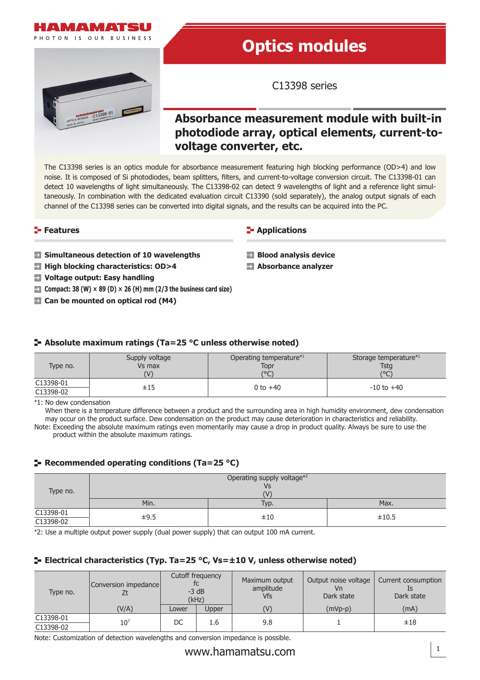



# **Optics modules**

C13398 series

# **Absorbance measurement module with built-in photodiode array, optical elements, current-tovoltage converter, etc.**

The C13398 series is an optics module for absorbance measurement featuring high blocking performance (OD>4) and low noise. It is composed of Si photodiodes, beam splitters, filters, and current-to-voltage conversion circuit. The C13398-01 can detect 10 wavelengths of light simultaneously. The C13398-02 can detect 9 wavelengths of light and a reference light simultaneously. In combination with the dedicated evaluation circuit C13390 (sold separately), the analog output signals of each channel of the C13398 series can be converted into digital signals, and the results can be acquired into the PC.

#### **Features**

#### **Simultaneous detection of 10 wavelengths**

- **High blocking characteristics: OD>4**
- **Voltage output: Easy handling**
- **Compact: 38 (W)**  $\times$  **89 (D)**  $\times$  **26 (H) mm (2/3 the business card size)**
- **E** Can be mounted on optical rod (M4)

**E-** Applications

- **Blood analysis device**
- **Absorbance analyzer**

## **Absolute maximum ratings (Ta=25 °C unless otherwise noted)**

| Type no.               | Supply voltage | Operating temperature <sup>*1</sup> | Storage temperature*1 |
|------------------------|----------------|-------------------------------------|-----------------------|
|                        | Vs max         | Topr                                | <b>Tstg</b>           |
|                        | $( \vee )$     | (°C)                                | (°C)                  |
| C13398-01<br>C13398-02 | $\pm 15$       | 0 to $+40$                          | $-10$ to $+40$        |

\*1: No dew condensation

When there is a temperature difference between a product and the surrounding area in high humidity environment, dew condensation may occur on the product surface. Dew condensation on the product may cause deterioration in characteristics and reliability. Note: Exceeding the absolute maximum ratings even momentarily may cause a drop in product quality. Always be sure to use the

product within the absolute maximum ratings.

## **Recommended operating conditions (Ta=25 °C)**

| Type no.               | Operating supply voltage*2<br>Vs<br>(V |      |       |  |  |  |  |
|------------------------|----------------------------------------|------|-------|--|--|--|--|
|                        | Min.                                   | Typ. | Max.  |  |  |  |  |
| C13398-01<br>C13398-02 | ±9.5                                   | ±10  | ±10.5 |  |  |  |  |

\*2: Use a multiple output power supply (dual power supply) that can output 100 mA current.

## **Electrical characteristics (Typ. Ta=25 °C, Vs=±10 V, unless otherwise noted)**

| Type no.  | Conversion impedance | Cutoff frequency<br>$-3$ dB<br>(kHz) |       | Maximum output<br>amplitude<br><b>Vfs</b> | Output noise voltage<br>Vn<br>Dark state | Current consumption<br>Dark state |  |
|-----------|----------------------|--------------------------------------|-------|-------------------------------------------|------------------------------------------|-----------------------------------|--|
|           | (V/A)                | Lower                                | Upper | (V)                                       | $(mVp-p)$                                | (mA)                              |  |
| C13398-01 | $10^{7}$             | DC                                   | 1.6   | 9.8                                       |                                          | ±18                               |  |
| C13398-02 |                      |                                      |       |                                           |                                          |                                   |  |

Note: Customization of detection wavelengths and conversion impedance is possible.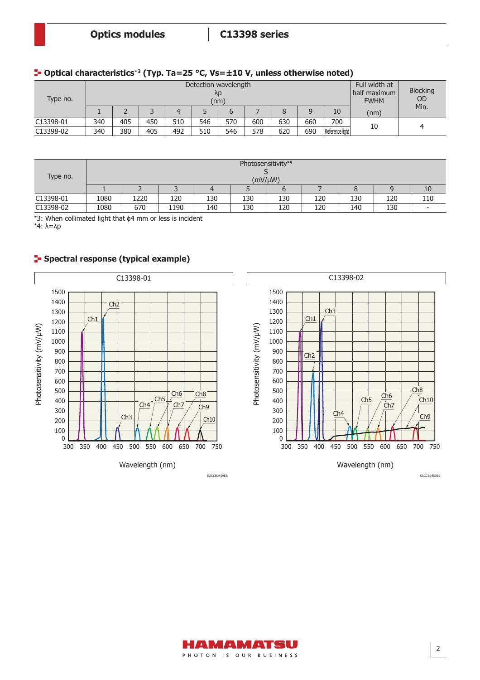#### **Optical characteristics**\***3 (Typ. Ta=25 °C, Vs=±10 V, unless otherwise noted)**

| Type no.  | Detection wavelength<br>λp<br>(nm) |     |     |     |     |     |     |     |     |                 | Full width at<br>half maximum<br><b>FWHM</b> | <b>Blocking</b><br><b>OD</b> |
|-----------|------------------------------------|-----|-----|-----|-----|-----|-----|-----|-----|-----------------|----------------------------------------------|------------------------------|
|           |                                    |     |     | 4   |     |     |     |     | 9   | 10              | (nm)                                         | Min.                         |
| C13398-01 | 340                                | 405 | 450 | 510 | 546 | 570 | 600 | 630 | 660 | 700             | 10                                           |                              |
| C13398-02 | 340                                | 380 | 405 | 492 | 510 | 546 | 578 | 620 | 690 | Reference light |                                              |                              |

| Type no.  | Photosensitivity*4<br>$(mV/\mu W)$ |      |      |     |     |     |     |     |     |                          |
|-----------|------------------------------------|------|------|-----|-----|-----|-----|-----|-----|--------------------------|
|           |                                    |      |      |     |     |     |     |     |     | 10                       |
| C13398-01 | 1080                               | 1220 | 120  | 130 | 130 | 130 | 120 | 130 | 120 | 110                      |
| C13398-02 | 1080                               | 670  | 1190 | 140 | 130 | 120 | 120 | 140 | 130 | $\overline{\phantom{a}}$ |

\*3: When collimated light that ϕ4 mm or less is incident

\*4: λ=λp

#### **F** Spectral response (typical example)

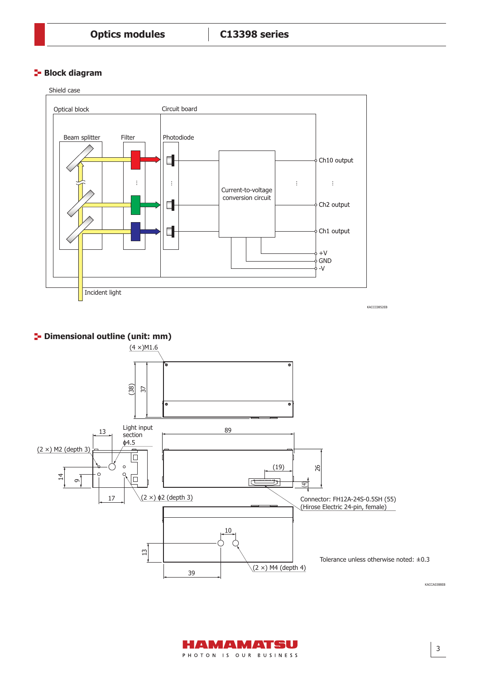## **Block diagram**



Tolerance unless otherwise noted: ±0.3

KACCA0388EB



 $(2 \times)$  M4 (depth 4)

10

39

 $\overline{13}$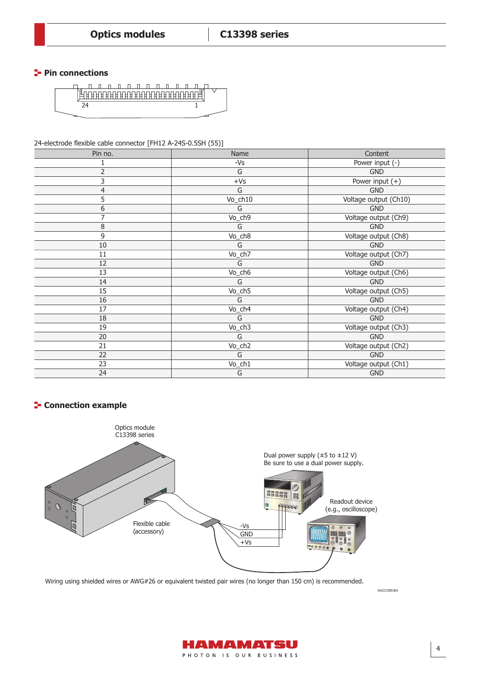#### **Pin connections**



24-electrode flexible cable connector [FH12 A-24S-0.5SH (55)]

| Pin no.        | Name      | Content               |
|----------------|-----------|-----------------------|
| $\mathbf{1}$   | $-Vs$     | Power input (-)       |
| $\overline{2}$ | G         | <b>GND</b>            |
| 3              | $+Vs$     | Power input $(+)$     |
| 4              | G         | <b>GND</b>            |
| 5              | $Vo_ch10$ | Voltage output (Ch10) |
| 6              | G         | <b>GND</b>            |
| 7              | Vo_ch9    | Voltage output (Ch9)  |
| 8              | G         | <b>GND</b>            |
| 9              | Vo_ch8    | Voltage output (Ch8)  |
| 10             | G         | <b>GND</b>            |
| 11             | $Vo_ch7$  | Voltage output (Ch7)  |
| 12             | G         | <b>GND</b>            |
| 13             | Vo_ch6    | Voltage output (Ch6)  |
| 14             | G         | <b>GND</b>            |
| 15             | Vo_ch5    | Voltage output (Ch5)  |
| 16             | G         | <b>GND</b>            |
| 17             | Vo_ch4    | Voltage output (Ch4)  |
| 18             | G         | <b>GND</b>            |
| 19             | Vo_ch3    | Voltage output (Ch3)  |
| 20             | G         | <b>GND</b>            |
| 21             | Vo_ch2    | Voltage output (Ch2)  |
| 22             | G         | <b>GND</b>            |
| 23             | Vo_ch1    | Voltage output (Ch1)  |
| 24             | G         | <b>GND</b>            |

## **F** Connection example



Wiring using shielded wires or AWG#26 or equivalent twisted pair wires (no longer than 150 cm) is recommended.

KACCC0853EA